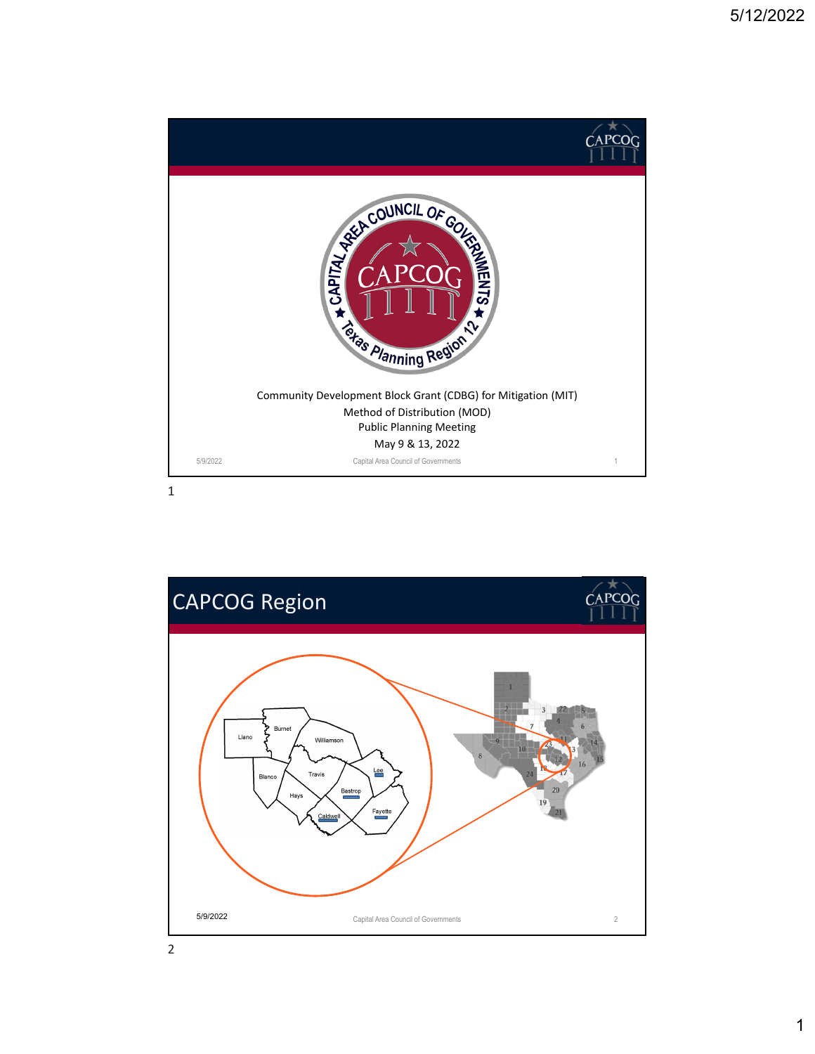

1

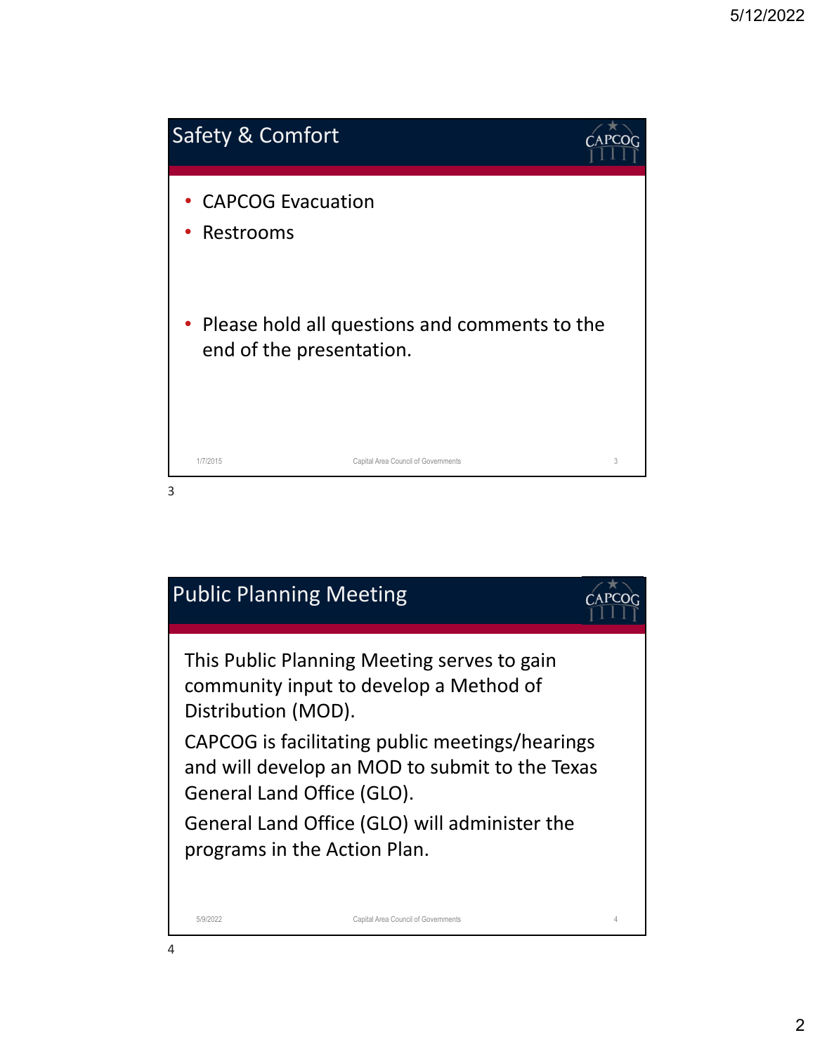

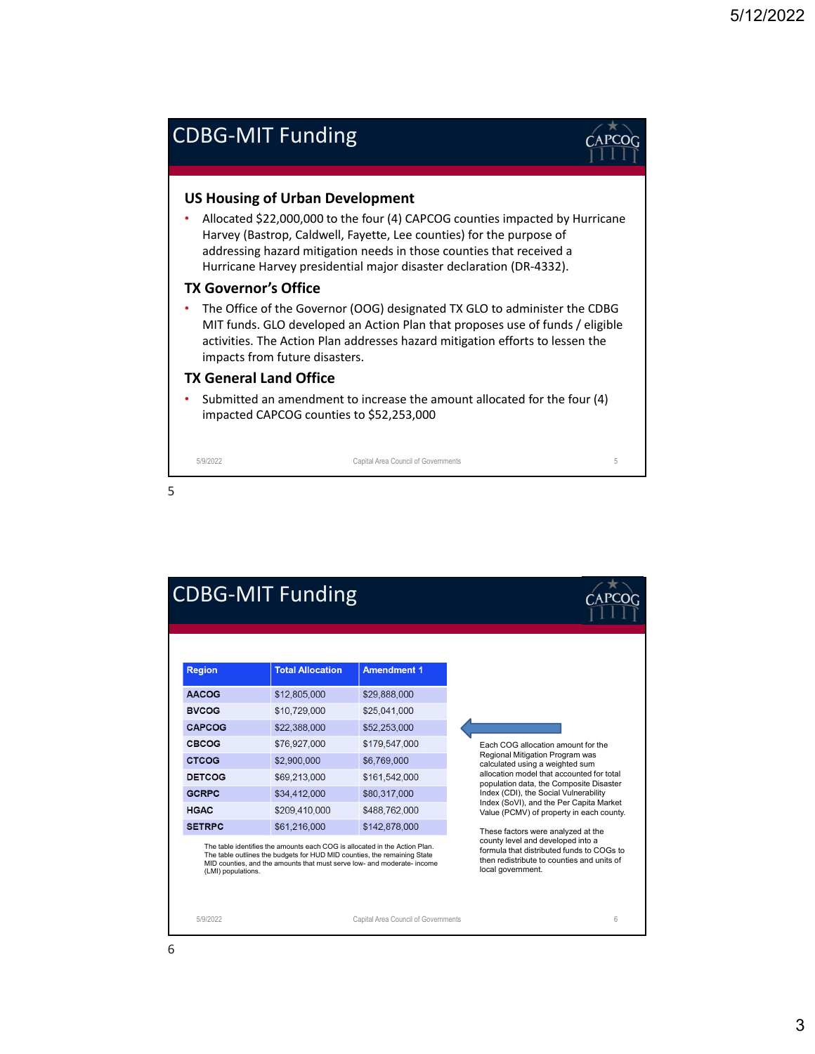# CDBG‐MIT Funding



## **US Housing of Urban Development**

• Allocated \$22,000,000 to the four (4) CAPCOG counties impacted by Hurricane Harvey (Bastrop, Caldwell, Fayette, Lee counties) for the purpose of addressing hazard mitigation needs in those counties that received a Hurricane Harvey presidential major disaster declaration (DR‐4332).

#### **TX Governor's Office**

• The Office of the Governor (OOG) designated TX GLO to administer the CDBG MIT funds. GLO developed an Action Plan that proposes use of funds / eligible activities. The Action Plan addresses hazard mitigation efforts to lessen the impacts from future disasters.

### **TX General Land Office**

• Submitted an amendment to increase the amount allocated for the four (4) impacted CAPCOG counties to \$52,253,000

5/9/2022 Capital Area Council of Governments 5

5

| <b>CDBG-MIT Funding</b> |                                                                                                                                                                                                                                   |                                     |                                                                                                                                                                                                     |
|-------------------------|-----------------------------------------------------------------------------------------------------------------------------------------------------------------------------------------------------------------------------------|-------------------------------------|-----------------------------------------------------------------------------------------------------------------------------------------------------------------------------------------------------|
| <b>Region</b>           | <b>Total Allocation</b>                                                                                                                                                                                                           | <b>Amendment 1</b>                  |                                                                                                                                                                                                     |
| <b>AACOG</b>            | \$12,805,000                                                                                                                                                                                                                      | \$29,888,000                        |                                                                                                                                                                                                     |
| <b>BVCOG</b>            | \$10,729,000                                                                                                                                                                                                                      | \$25,041,000                        |                                                                                                                                                                                                     |
| <b>CAPCOG</b>           | \$22,388,000                                                                                                                                                                                                                      | \$52,253,000                        |                                                                                                                                                                                                     |
| CBCOG                   | \$76,927,000                                                                                                                                                                                                                      | \$179,547,000                       | Each COG allocation amount for the                                                                                                                                                                  |
| <b>CTCOG</b>            | \$2,900,000                                                                                                                                                                                                                       | \$6,769,000                         | Regional Mitigation Program was<br>calculated using a weighted sum<br>allocation model that accounted for total<br>population data, the Composite Disaster<br>Index (CDI), the Social Vulnerability |
| <b>DETCOG</b>           | \$69,213,000                                                                                                                                                                                                                      | \$161,542,000                       |                                                                                                                                                                                                     |
| <b>GCRPC</b>            | \$34,412,000                                                                                                                                                                                                                      | \$80,317,000                        |                                                                                                                                                                                                     |
| <b>HGAC</b>             | \$209,410,000                                                                                                                                                                                                                     | \$488,762,000                       | Index (SoVI), and the Per Capita Market<br>Value (PCMV) of property in each county.                                                                                                                 |
| <b>SETRPC</b>           | \$61,216,000                                                                                                                                                                                                                      | \$142,878,000                       | These factors were analyzed at the                                                                                                                                                                  |
| (LMI) populations.      | The table identifies the amounts each COG is allocated in the Action Plan.<br>The table outlines the budgets for HUD MID counties, the remaining State<br>MID counties, and the amounts that must serve low- and moderate- income |                                     | county level and developed into a<br>formula that distributed funds to COGs to<br>then redistribute to counties and units of<br>local government.                                                   |
| 5/9/2022                |                                                                                                                                                                                                                                   | Capital Area Council of Governments | 6                                                                                                                                                                                                   |

#### 6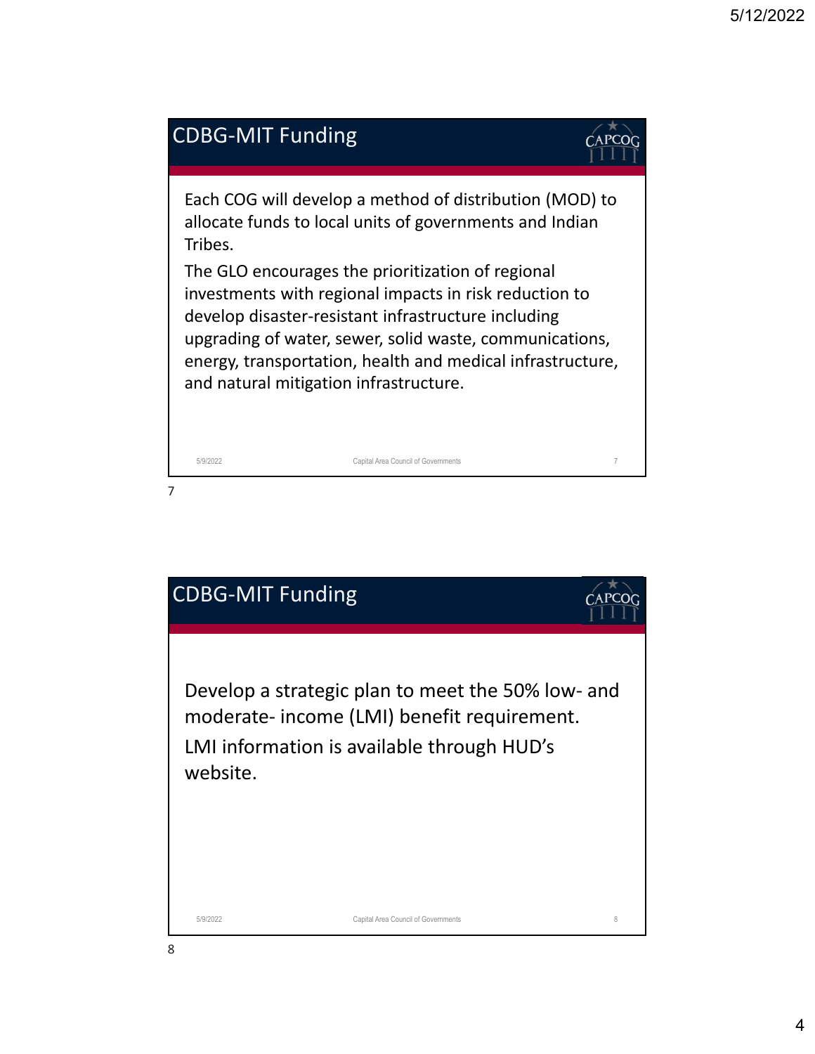

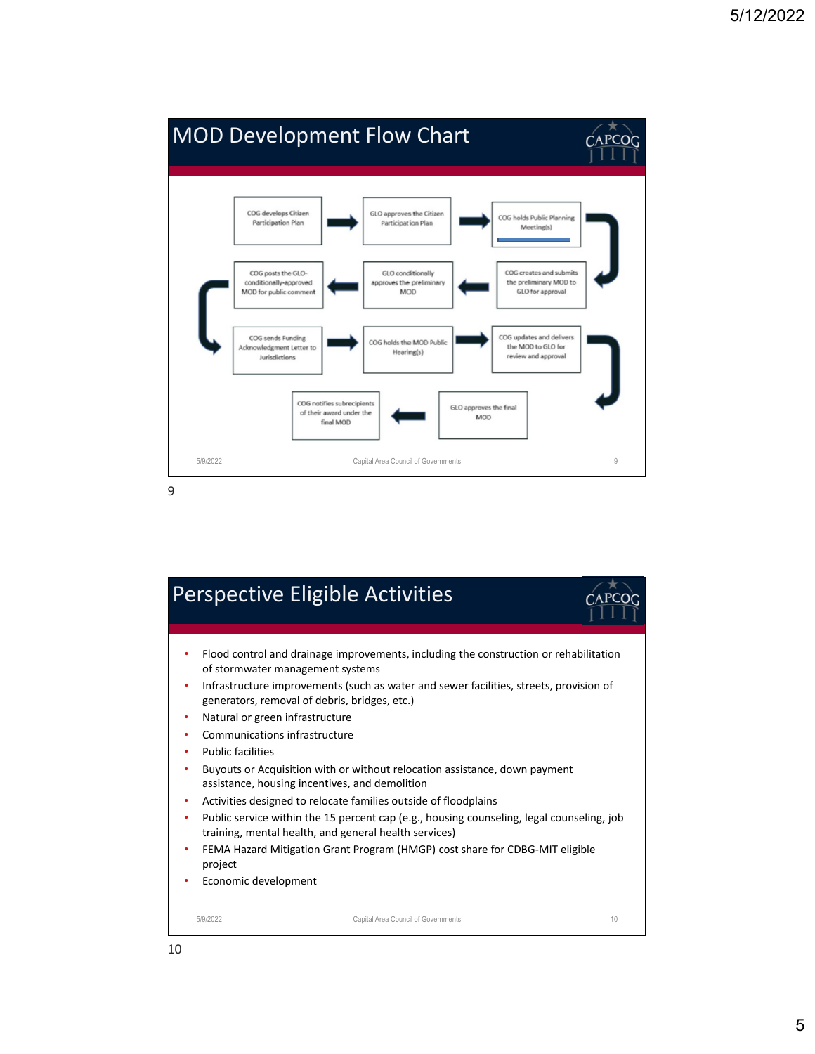

Perspective Eligible Activities • Flood control and drainage improvements, including the construction or rehabilitation of stormwater management systems • Infrastructure improvements (such as water and sewer facilities, streets, provision of generators, removal of debris, bridges, etc.) • Natural or green infrastructure • Communications infrastructure • Public facilities • Buyouts or Acquisition with or without relocation assistance, down payment assistance, housing incentives, and demolition • Activities designed to relocate families outside of floodplains Public service within the 15 percent cap (e.g., housing counseling, legal counseling, job training, mental health, and general health services) • FEMA Hazard Mitigation Grant Program (HMGP) cost share for CDBG‐MIT eligible project • Economic development 5/9/2022 Capital Area Council of Governments 10